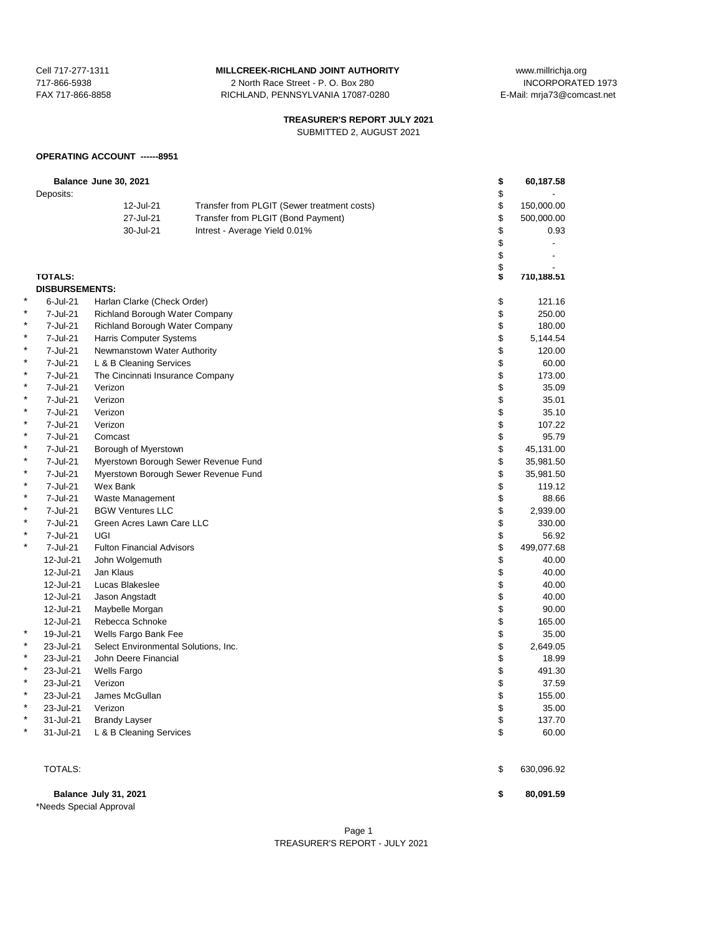717-866-5938 2 North Race Street - P. O. Box 280<br>FAX 717-866-8858 2 RICHLAND, PENNSYLVANIA 17087-02 RICHLAND, PENNSYLVANIA 17087-0280 E-Mail: mrja73@comcast.net

Cell 717-277-1311 **MILLCREEK-RICHLAND JOINT AUTHORITY** www.millrichja.org<br>717-866-5938 1073 12 North Race Street - P. O. Box 280

# **TREASURER'S REPORT JULY 2021**

SUBMITTED 2, AUGUST 2021

#### **OPERATING ACCOUNT ------8951**

|        | Deposits:             | Balance June 30, 2021                       |                                             | \$<br>\$ | 60,187.58           |
|--------|-----------------------|---------------------------------------------|---------------------------------------------|----------|---------------------|
|        |                       | 12-Jul-21                                   | Transfer from PLGIT (Sewer treatment costs) | \$       | 150,000.00          |
|        |                       | 27-Jul-21                                   | Transfer from PLGIT (Bond Payment)          | \$       | 500,000.00          |
|        |                       | 30-Jul-21                                   | Intrest - Average Yield 0.01%               | \$       | 0.93                |
|        |                       |                                             |                                             | \$       | $\blacksquare$      |
|        |                       |                                             |                                             | \$       |                     |
|        |                       |                                             |                                             |          |                     |
|        | <b>TOTALS:</b>        |                                             |                                             | \$       | 710,188.51          |
|        | <b>DISBURSEMENTS:</b> |                                             |                                             |          |                     |
| ×      | 6-Jul-21              | Harlan Clarke (Check Order)                 |                                             | \$       | 121.16              |
|        | 7-Jul-21              | Richland Borough Water Company              |                                             | \$       | 250.00              |
| ×      | 7-Jul-21              | <b>Richland Borough Water Company</b>       |                                             | \$       | 180.00              |
| ×      | 7-Jul-21              | Harris Computer Systems                     |                                             | \$       | 5,144.54            |
| *      | 7-Jul-21              | Newmanstown Water Authority                 |                                             | \$       | 120.00              |
| *      | 7-Jul-21              | L & B Cleaning Services                     |                                             | \$       | 60.00               |
| ×<br>* | 7-Jul-21              | The Cincinnati Insurance Company            |                                             | \$       | 173.00              |
| *      | 7-Jul-21              | Verizon                                     |                                             | \$       | 35.09               |
| *      | 7-Jul-21              | Verizon                                     |                                             | \$       | 35.01               |
| *      | 7-Jul-21              | Verizon                                     |                                             | \$       | 35.10               |
| *      | 7-Jul-21              | Verizon                                     |                                             | \$       | 107.22              |
| *      | 7-Jul-21              | Comcast                                     |                                             | \$       | 95.79               |
| *      | 7-Jul-21              | Borough of Myerstown                        |                                             | \$       | 45,131.00           |
| *      | 7-Jul-21              |                                             | Myerstown Borough Sewer Revenue Fund        | \$       | 35,981.50           |
| *      | 7-Jul-21<br>7-Jul-21  | Wex Bank                                    | Myerstown Borough Sewer Revenue Fund        | \$<br>\$ | 35,981.50<br>119.12 |
| *      | 7-Jul-21              |                                             |                                             | \$       | 88.66               |
| *      | 7-Jul-21              | Waste Management<br><b>BGW Ventures LLC</b> |                                             | \$       | 2,939.00            |
| *      | 7-Jul-21              | Green Acres Lawn Care LLC                   |                                             | \$       | 330.00              |
| ×      | 7-Jul-21              | <b>UGI</b>                                  |                                             | \$       | 56.92               |
| *      | 7-Jul-21              | <b>Fulton Financial Advisors</b>            |                                             | \$       | 499,077.68          |
|        | 12-Jul-21             | John Wolgemuth                              |                                             | \$       | 40.00               |
|        | 12-Jul-21             | Jan Klaus                                   |                                             | \$       | 40.00               |
|        | 12-Jul-21             | Lucas Blakeslee                             |                                             | \$       | 40.00               |
|        | 12-Jul-21             | Jason Angstadt                              |                                             | \$       | 40.00               |
|        | 12-Jul-21             | Maybelle Morgan                             |                                             | \$       | 90.00               |
|        | 12-Jul-21             | Rebecca Schnoke                             |                                             | \$       | 165.00              |
| ×      | 19-Jul-21             | Wells Fargo Bank Fee                        |                                             | \$       | 35.00               |
| ×      | 23-Jul-21             | Select Environmental Solutions, Inc.        |                                             | \$       | 2,649.05            |
| *      | 23-Jul-21             | John Deere Financial                        |                                             | \$       | 18.99               |
| *      | 23-Jul-21             | <b>Wells Fargo</b>                          |                                             | \$       | 491.30              |
| *      | 23-Jul-21             | Verizon                                     |                                             | \$       | 37.59               |
| *      | 23-Jul-21             | James McGullan                              |                                             | \$       | 155.00              |
| *      | 23-Jul-21             | Verizon                                     |                                             | \$       | 35.00               |
| *      | 31-Jul-21             | <b>Brandy Layser</b>                        |                                             | \$       | 137.70              |
| *      | 31-Jul-21             | L & B Cleaning Services                     |                                             | \$       | 60.00               |
|        | TOTALS:               |                                             |                                             | \$       | 630,096.92          |
|        |                       |                                             |                                             |          |                     |

**Balance July 31, 2021 \$ 80,091.59** \*Needs Special Approval

> Page 1 TREASURER'S REPORT - JULY 2021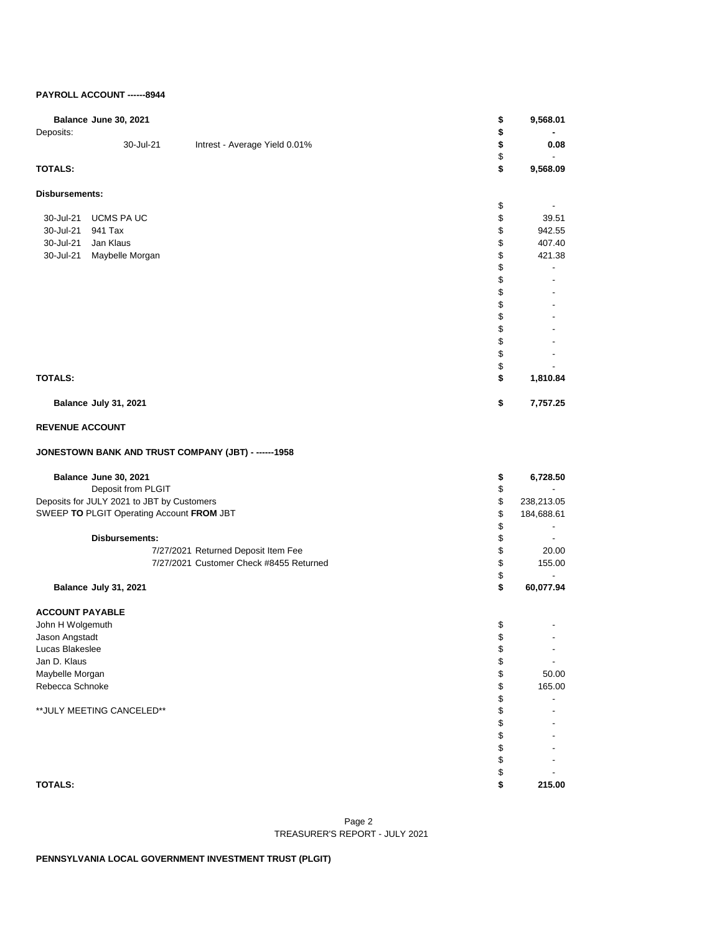# **PAYROLL ACCOUNT ------8944**

| Deposits:                       | Balance June 30, 2021                      |                                                      | \$<br>\$ | 9,568.01                              |
|---------------------------------|--------------------------------------------|------------------------------------------------------|----------|---------------------------------------|
|                                 | 30-Jul-21                                  | Intrest - Average Yield 0.01%                        | \$       | 0.08                                  |
|                                 |                                            |                                                      | \$       |                                       |
| <b>TOTALS:</b>                  |                                            |                                                      | \$       | 9,568.09                              |
| Disbursements:                  |                                            |                                                      |          |                                       |
|                                 |                                            |                                                      | \$       |                                       |
| 30-Jul-21<br>30-Jul-21          | UCMS PA UC<br>941 Tax                      |                                                      | \$<br>\$ | 39.51<br>942.55                       |
| 30-Jul-21                       | Jan Klaus                                  |                                                      | \$       | 407.40                                |
| 30-Jul-21                       | Maybelle Morgan                            |                                                      | \$       | 421.38                                |
|                                 |                                            |                                                      | \$       | $\overline{\phantom{a}}$              |
|                                 |                                            |                                                      | \$       |                                       |
|                                 |                                            |                                                      | \$       |                                       |
|                                 |                                            |                                                      | \$       |                                       |
|                                 |                                            |                                                      | \$       |                                       |
|                                 |                                            |                                                      | \$       |                                       |
|                                 |                                            |                                                      | \$       |                                       |
|                                 |                                            |                                                      | \$       |                                       |
| <b>TOTALS:</b>                  |                                            |                                                      | \$<br>\$ |                                       |
|                                 |                                            |                                                      |          | 1,810.84                              |
|                                 | Balance July 31, 2021                      |                                                      | \$       | 7,757.25                              |
| <b>REVENUE ACCOUNT</b>          |                                            |                                                      |          |                                       |
|                                 |                                            | JONESTOWN BANK AND TRUST COMPANY (JBT) - ------ 1958 |          |                                       |
|                                 | Balance June 30, 2021                      |                                                      | \$       | 6,728.50                              |
|                                 | Deposit from PLGIT                         |                                                      | \$       |                                       |
|                                 | Deposits for JULY 2021 to JBT by Customers |                                                      | \$       | 238,213.05                            |
|                                 | SWEEP TO PLGIT Operating Account FROM JBT  |                                                      | \$       | 184,688.61                            |
|                                 |                                            |                                                      | \$       |                                       |
|                                 | <b>Disbursements:</b>                      |                                                      | \$       | $\blacksquare$                        |
|                                 |                                            | 7/27/2021 Returned Deposit Item Fee                  | \$       | 20.00                                 |
|                                 |                                            | 7/27/2021 Customer Check #8455 Returned              | \$       | 155.00                                |
|                                 | Balance July 31, 2021                      |                                                      | \$<br>\$ | $\overline{\phantom{a}}$<br>60,077.94 |
|                                 |                                            |                                                      |          |                                       |
| <b>ACCOUNT PAYABLE</b>          |                                            |                                                      |          |                                       |
| John H Wolgemuth                |                                            |                                                      | \$       |                                       |
| Jason Angstadt                  |                                            |                                                      | \$       |                                       |
| Lucas Blakeslee                 |                                            |                                                      | \$       | -                                     |
| Jan D. Klaus<br>Maybelle Morgan |                                            |                                                      | \$<br>\$ | $\overline{\phantom{a}}$<br>50.00     |
| Rebecca Schnoke                 |                                            |                                                      | \$       | 165.00                                |
|                                 |                                            |                                                      | \$       |                                       |
|                                 | ** JULY MEETING CANCELED**                 |                                                      | \$       |                                       |
|                                 |                                            |                                                      | \$       |                                       |
|                                 |                                            |                                                      | \$       |                                       |
|                                 |                                            |                                                      | \$       |                                       |
|                                 |                                            |                                                      | \$       |                                       |
|                                 |                                            |                                                      | \$       |                                       |
| <b>TOTALS:</b>                  |                                            |                                                      | \$       | 215.00                                |

### Page 2 TREASURER'S REPORT - JULY 2021